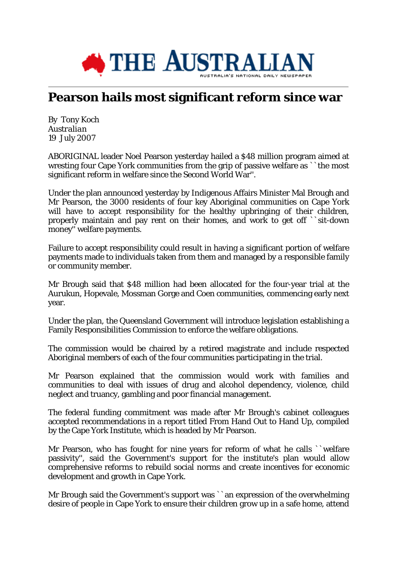

## **Pearson hails most significant reform since war**

By Tony Koch *Australian* 19 July 2007

ABORIGINAL leader Noel Pearson yesterday hailed a \$48 million program aimed at wresting four Cape York communities from the grip of passive welfare as ``the most significant reform in welfare since the Second World War''.

Under the plan announced yesterday by Indigenous Affairs Minister Mal Brough and Mr Pearson, the 3000 residents of four key Aboriginal communities on Cape York will have to accept responsibility for the healthy upbringing of their children, properly maintain and pay rent on their homes, and work to get off ``sit-down money'' welfare payments.

Failure to accept responsibility could result in having a significant portion of welfare payments made to individuals taken from them and managed by a responsible family or community member.

Mr Brough said that \$48 million had been allocated for the four-year trial at the Aurukun, Hopevale, Mossman Gorge and Coen communities, commencing early next year.

Under the plan, the Queensland Government will introduce legislation establishing a Family Responsibilities Commission to enforce the welfare obligations.

The commission would be chaired by a retired magistrate and include respected Aboriginal members of each of the four communities participating in the trial.

Mr Pearson explained that the commission would work with families and communities to deal with issues of drug and alcohol dependency, violence, child neglect and truancy, gambling and poor financial management.

The federal funding commitment was made after Mr Brough's cabinet colleagues accepted recommendations in a report titled From Hand Out to Hand Up, compiled by the Cape York Institute, which is headed by Mr Pearson.

Mr Pearson, who has fought for nine years for reform of what he calls ``welfare passivity'', said the Government's support for the institute's plan would allow comprehensive reforms to rebuild social norms and create incentives for economic development and growth in Cape York.

Mr Brough said the Government's support was ``an expression of the overwhelming desire of people in Cape York to ensure their children grow up in a safe home, attend